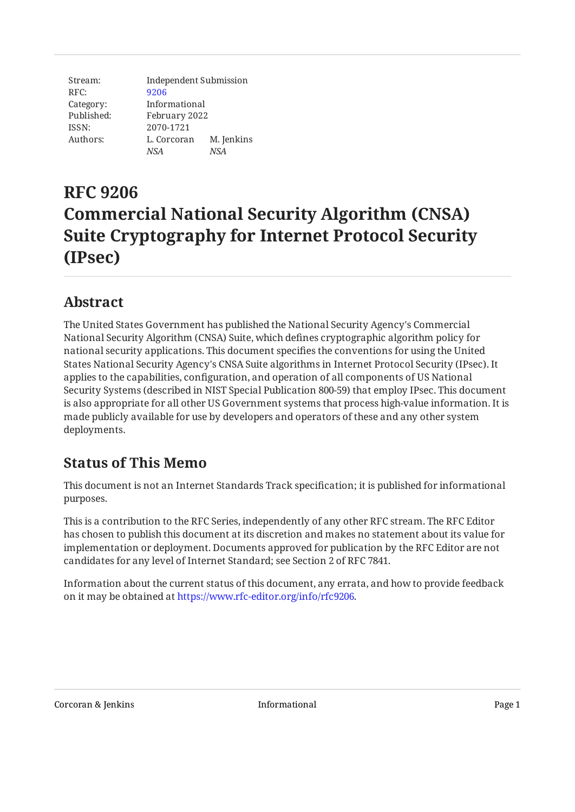Stream: RFC: Category: Published: ISSN: Authors: Independent Submission [9206](https://www.rfc-editor.org/rfc/rfc9206) Informational February 2022 2070-1721 L. Corcoran M. Jenkins *NSA NSA*

# **RFC 9206 Commercial National Security Algorithm (CNSA) Suite Cryptography for Internet Protocol Security (IPsec)**

### <span id="page-0-0"></span>**[Abstract](#page-0-0)**

The United States Government has published the National Security Agency's Commercial National Security Algorithm (CNSA) Suite, which defines cryptographic algorithm policy for national security applications. This document specifies the conventions for using the United States National Security Agency's CNSA Suite algorithms in Internet Protocol Security (IPsec). It applies to the capabilities, configuration, and operation of all components of US National Security Systems (described in NIST Special Publication 800-59) that employ IPsec. This document is also appropriate for all other US Government systems that process high-value information. It is made publicly available for use by developers and operators of these and any other system deployments.

#### <span id="page-0-1"></span>**[Status of This Memo](#page-0-1)**

This document is not an Internet Standards Track specification; it is published for informational purposes.

This is a contribution to the RFC Series, independently of any other RFC stream. The RFC Editor has chosen to publish this document at its discretion and makes no statement about its value for implementation or deployment. Documents approved for publication by the RFC Editor are not candidates for any level of Internet Standard; see Section 2 of RFC 7841.

Information about the current status of this document, any errata, and how to provide feedback on it may be obtained at [https://www.rfc-editor.org/info/rfc9206.](https://www.rfc-editor.org/info/rfc9206)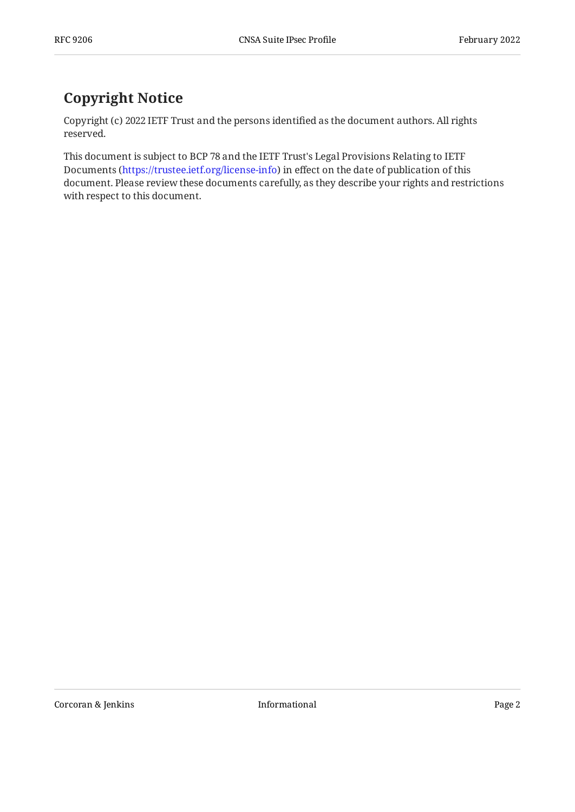## <span id="page-1-0"></span>**[Copyright Notice](#page-1-0)**

Copyright (c) 2022 IETF Trust and the persons identified as the document authors. All rights reserved.

This document is subject to BCP 78 and the IETF Trust's Legal Provisions Relating to IETF Documents (<https://trustee.ietf.org/license-info>) in effect on the date of publication of this document. Please review these documents carefully, as they describe your rights and restrictions with respect to this document.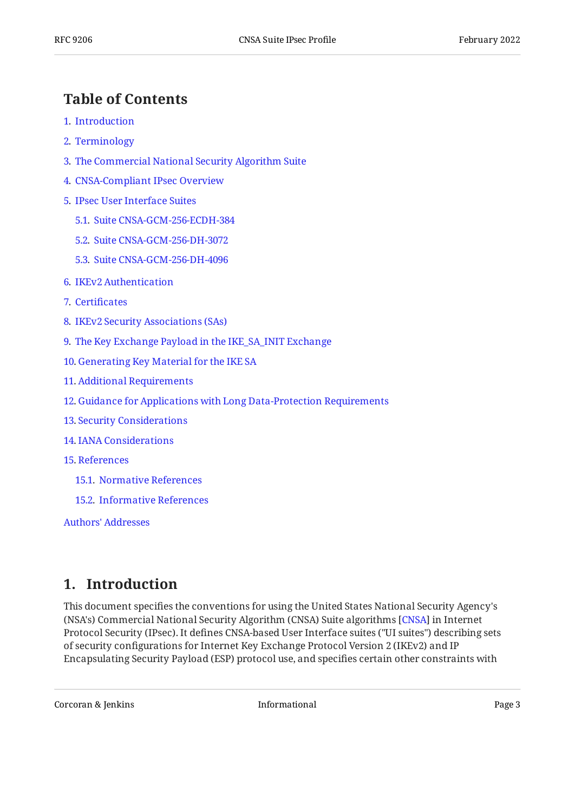#### <span id="page-2-0"></span>**[Table of Contents](#page-2-0)**

- [1](#page-2-1). [Introduction](#page-2-1)
- [2](#page-3-0). [Terminology](#page-3-0)
- [3](#page-3-1). [The Commercial National Security Algorithm Suite](#page-3-1)
- [4](#page-4-0). [CNSA-Compliant IPsec Overview](#page-4-0)
- [5](#page-4-1). [IPsec User Interface Suites](#page-4-1)
	- [5.1.](#page-5-0) [Suite CNSA-GCM-256-ECDH-384](#page-5-0)
	- [5.2.](#page-5-1) [Suite CNSA-GCM-256-DH-3072](#page-5-1)
	- [5.3.](#page-6-0) [Suite CNSA-GCM-256-DH-4096](#page-6-0)
- [6](#page-6-1). [IKEv2 Authentication](#page-6-1)
- [7](#page-6-2). Certifi[cates](#page-6-2)
- [8](#page-7-0). [IKEv2 Security Associations \(SAs\)](#page-7-0)
- [9](#page-7-1). [The Key Exchange Payload in the IKE\\_SA\\_INIT Exchange](#page-7-1)
- [10](#page-8-0). [Generating Key Material for the IKE SA](#page-8-0)
- [11](#page-8-1). [Additional Requirements](#page-8-1)
- [12](#page-9-0). [Guidance for Applications with Long Data-Protection Requirements](#page-9-0)
- [13](#page-9-1). [Security Considerations](#page-9-1)
- [14](#page-10-0). [IANA Considerations](#page-10-0)
- [15](#page-10-1). [References](#page-10-1)
	- [15.1.](#page-10-2) [Normative References](#page-10-2)
	- [15.2.](#page-12-0) [Informative References](#page-12-0)

[Authors' Addresses](#page-12-1)

#### <span id="page-2-1"></span>**[1. Introduction](#page-2-1)**

This document specifies the conventions for using the United States National Security Agency's (NSA's) Commercial National Security Algorithm (CNSA) Suite algorithms [\[CNSA\]](#page-10-3) in Internet Protocol Security (IPsec). It defines CNSA-based User Interface suites ("UI suites") describing sets of security configurations for Internet Key Exchange Protocol Version 2 (IKEv2) and IP Encapsulating Security Payload (ESP) protocol use, and specifies certain other constraints with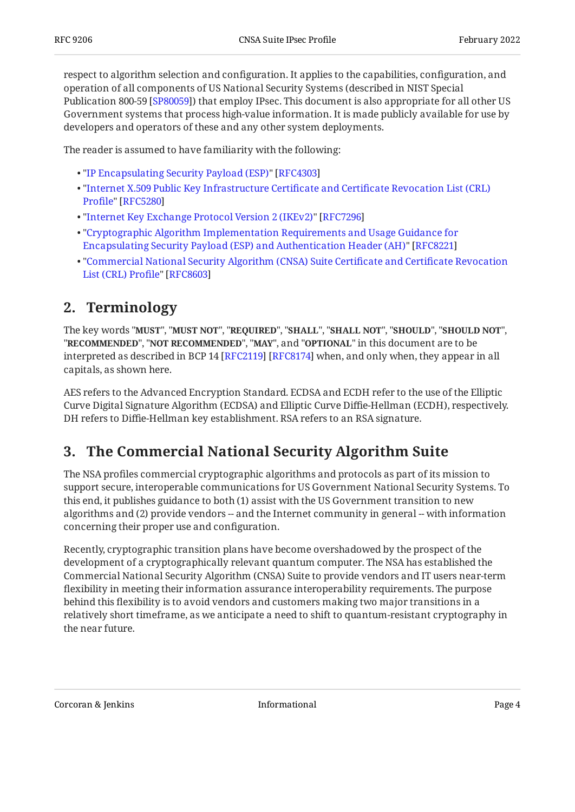respect to algorithm selection and configuration. It applies to the capabilities, configuration, and operation of all components of US National Security Systems (described in NIST Special Publication 800-59 [\[SP80059\]](#page-12-2)) that employ IPsec. This document is also appropriate for all other US Government systems that process high-value information. It is made publicly available for use by developers and operators of these and any other system deployments.

The reader is assumed to have familiarity with the following:

- "[IP Encapsulating Security Payload \(ESP\)"](#page-11-0) • [\[RFC4303](#page-11-0)]
- "[Internet X.509 Public Key Infrastructure Certi](#page-11-1)ficate and Certificate Revocation List (CRL) [Pro](#page-11-1)file" [\[RFC5280\]](#page-11-1)
- "[Internet Key Exchange Protocol Version 2 \(IKEv2\)"](#page-11-2) • [\[RFC7296\]](#page-11-2)
- "[Cryptographic Algorithm Implementation Requirements and Usage Guidance for](#page-11-3) [Encapsulating Security Payload \(ESP\) and Authentication Header \(AH\)](#page-11-3)" [\[RFC8221\]](#page-11-3)
- "[Commercial National Security Algorithm \(CNSA\) Suite Certi](#page-12-3)ficate and Certificate Revocation [List \(CRL\) Pro](#page-12-3)file" [\[RFC8603\]](#page-12-3)

#### <span id="page-3-0"></span>**[2. Terminology](#page-3-0)**

The key words "MUST", "MUST NOT", "REQUIRED", "SHALL", "SHALL NOT", "SHOULD", "SHOULD NOT", "**RECOMMENDED", "NOT RECOMMENDED", "MAY",** and "OPTIONAL" in this document are to be interpreted as described in BCP 14 [RFC2119] [RFC8174] when, and only when, they appear in all capitals, as shown here.

AES refers to the Advanced Encryption Standard. ECDSA and ECDH refer to the use of the Elliptic Curve Digital Signature Algorithm (ECDSA) and Elliptic Curve Diffie-Hellman (ECDH), respectively. DH refers to Diffie-Hellman key establishment. RSA refers to an RSA signature.

#### <span id="page-3-1"></span>**[3. The Commercial National Security Algorithm Suite](#page-3-1)**

The NSA profiles commercial cryptographic algorithms and protocols as part of its mission to support secure, interoperable communications for US Government National Security Systems. To this end, it publishes guidance to both (1) assist with the US Government transition to new algorithms and (2) provide vendors -- and the Internet community in general -- with information concerning their proper use and configuration.

Recently, cryptographic transition plans have become overshadowed by the prospect of the development of a cryptographically relevant quantum computer. The NSA has established the Commercial National Security Algorithm (CNSA) Suite to provide vendors and IT users near-term flexibility in meeting their information assurance interoperability requirements. The purpose behind this flexibility is to avoid vendors and customers making two major transitions in a relatively short timeframe, as we anticipate a need to shift to quantum-resistant cryptography in the near future.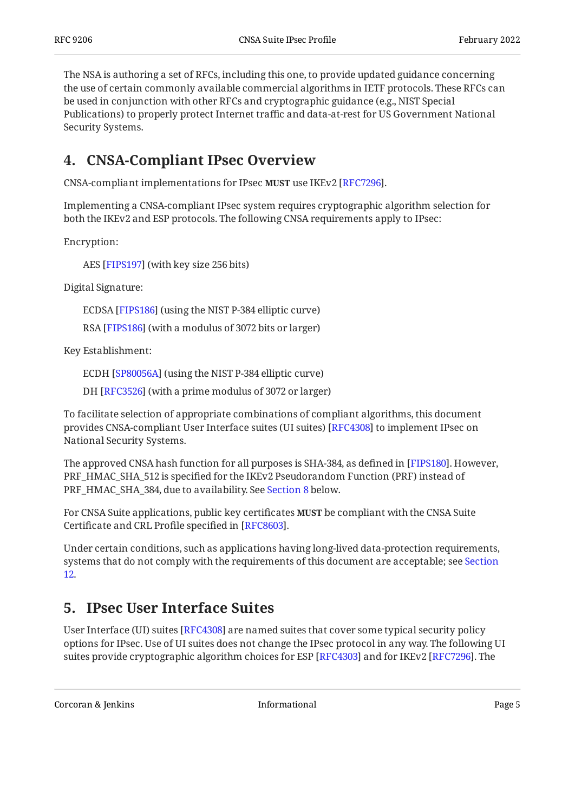The NSA is authoring a set of RFCs, including this one, to provide updated guidance concerning the use of certain commonly available commercial algorithms in IETF protocols. These RFCs can be used in conjunction with other RFCs and cryptographic guidance (e.g., NIST Special Publications) to properly protect Internet traffic and data-at-rest for US Government National Security Systems.

#### <span id="page-4-0"></span>**[4. CNSA-Compliant IPsec Overview](#page-4-0)**

CNSA-compliant implementations for IPsec **MUST** use IKEv2 [RFC7296].

Implementing a CNSA-compliant IPsec system requires cryptographic algorithm selection for both the IKEv2 and ESP protocols. The following CNSA requirements apply to IPsec:

Encryption:

AES [FIPS197] (with key size 256 bits)

Digital Signature:

ECDSA [FIPS186] (using the NIST P-384 elliptic curve)

RSA [[FIPS186\]](#page-10-6) (with a modulus of 3072 bits or larger)

Key Establishment:

ECDH [[SP80056A\]](#page-12-4) (using the NIST P-384 elliptic curve)

DH [RFC3526] (with a prime modulus of 3072 or larger)

To facilitate selection of appropriate combinations of compliant algorithms, this document provides CNSA-compliant User Interface suites (UI suites) [\[RFC4308](#page-11-5)] to implement IPsec on National Security Systems.

The approved CNSA hash function for all purposes is SHA-384, as defined in [\[FIPS180\]](#page-10-8). However, PRF\_HMAC\_SHA\_512 is specified for the IKEv2 Pseudorandom Function (PRF) instead of PRF\_HMAC\_SHA\_384, due to availability. See [Section 8](#page-7-0) below.

For CNSA Suite applications, public key certificates **MUST** be compliant with the CNSA Suite Certificate and CRL Profile specified in [RFC8603].

Under certain conditions, such as applications having long-lived data-protection requirements, systems that do not comply with the requirements of this document are acceptable; see [Section](#page-9-0) [12](#page-9-0).

#### <span id="page-4-1"></span>**[5. IPsec User Interface Suites](#page-4-1)**

User Interface (UI) suites [RFC4308] are named suites that cover some typical security policy options for IPsec. Use of UI suites does not change the IPsec protocol in any way. The following UI suites provide cryptographic algorithm choices for ESP [[RFC4303\]](#page-11-0) and for IKEv2 [[RFC7296\]](#page-11-2). The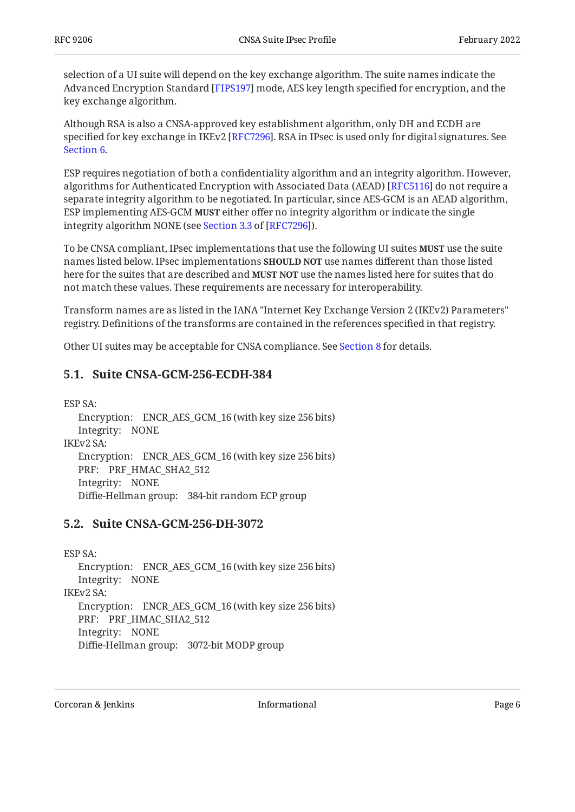selection of a UI suite will depend on the key exchange algorithm. The suite names indicate the Advanced Encryption Standard [FIPS197] mode, AES key length specified for encryption, and the key exchange algorithm.

Although RSA is also a CNSA-approved key establishment algorithm, only DH and ECDH are specified for key exchange in IKEv2 [RFC7296]. RSA in IPsec is used only for digital signatures. See [Section 6.](#page-6-1)

ESP requires negotiation of both a confidentiality algorithm and an integrity algorithm. However, algorithms for Authenticated Encryption with Associated Data (AEAD) [RFC5116] do not require a separate integrity algorithm to be negotiated. In particular, since AES-GCM is an AEAD algorithm, ESP implementing AES-GCM **MUST** either offer no integrity algorithm or indicate the single integrityalgorithm NONE (see Section 3.3 of [RFC7296]).

To be CNSA compliant, IPsec implementations that use the following UI suites **MUST** use the suite names listed below. IPsec implementations **SHOULD NOT** use names different than those listed here for the suites that are described and **MUST NOT** use the names listed here for suites that do not match these values. These requirements are necessary for interoperability.

Transform names are as listed in the IANA "Internet Key Exchange Version 2 (IKEv2) Parameters" registry. Definitions of the transforms are contained in the references specified in that registry.

<span id="page-5-0"></span>Other UI suites may be acceptable for CNSA compliance. See [Section 8](#page-7-0) for details.

#### **[5.1. Suite CNSA-GCM-256-ECDH-384](#page-5-0)**

```
Encryption:
ENCR_AES_GCM_16 (with key size 256 bits) 
   Integrity:
NONE 
   Encryption:
ENCR_AES_GCM_16 (with key size 256 bits) 
   PRF:
PRF_HMAC_SHA2_512 
   Integrity:
NONE 
   Diffie-Hellman group:
384-bit random ECP group 
ESP SA:
IKEv2 SA:
```
#### <span id="page-5-1"></span>**[5.2. Suite CNSA-GCM-256-DH-3072](#page-5-1)**

```
Encryption:
ENCR_AES_GCM_16 (with key size 256 bits) 
   Integrity:
NONE 
   Encryption:
ENCR_AES_GCM_16 (with key size 256 bits) 
   PRF:
PRF_HMAC_SHA2_512 
   Integrity:
NONE 
   Diffie-Hellman group:
3072-bit MODP group 
ESP SA:
IKEv2 SA:
```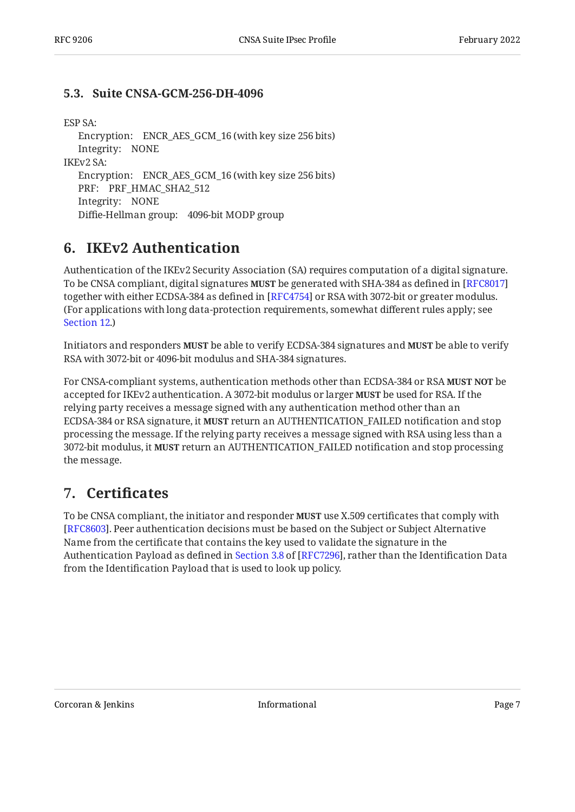#### <span id="page-6-0"></span>**[5.3. Suite CNSA-GCM-256-DH-4096](#page-6-0)**

#### ESP SA:

Encryption: ENCR\_AES\_GCM\_16 (with key size 256 bits) Integrity: NONE Encryption: ENCR\_AES\_GCM\_16 (with key size 256 bits) PRF: PRF\_HMAC\_SHA2\_512 Integrity: NONE Diffie-Hellman group: 4096-bit MODP group IKEv2 SA:

#### <span id="page-6-1"></span>**[6. IKEv2 Authentication](#page-6-1)**

Authentication of the IKEv2 Security Association (SA) requires computation of a digital signature. To be CNSA compliant, digital signatures **MUST** be generated with SHA-384 as defined in [[RFC8017\]](#page-11-7) together with either ECDSA-384 as defined in [RFC4754] or RSA with 3072-bit or greater modulus. (For applications with long data-protection requirements, somewhat different rules apply; see [Section 12.](#page-9-0))

Initiators and responders **MUST** be able to verify ECDSA-384 signatures and **MUST** be able to verify RSA with 3072-bit or 4096-bit modulus and SHA-384 signatures.

For CNSA-compliant systems, authentication methods other than ECDSA-384 or RSA **MUST NOT** be accepted for IKEv2 authentication. A 3072-bit modulus or larger **MUST** be used for RSA. If the relying party receives a message signed with any authentication method other than an ECDSA-384 or RSA signature, it **MUST** return an AUTHENTICATION\_FAILED notification and stop processing the message. If the relying party receives a message signed with RSA using less than a 3072-bit modulus, it **MUST** return an AUTHENTICATION\_FAILED notification and stop processing the message.

#### <span id="page-6-2"></span>**[7. C](#page-6-2)ertifi[cates](#page-6-2)**

To be CNSA compliant, the initiator and responder **MUST** use X.509 certificates that comply with [[RFC8603\]](#page-12-3). Peer authentication decisions must be based on the Subject or Subject Alternative Name from the certificate that contains the key used to validate the signature in the AuthenticationPayload as defined in Section 3.8 of [RFC7296], rather than the Identification Data from the Identification Payload that is used to look up policy.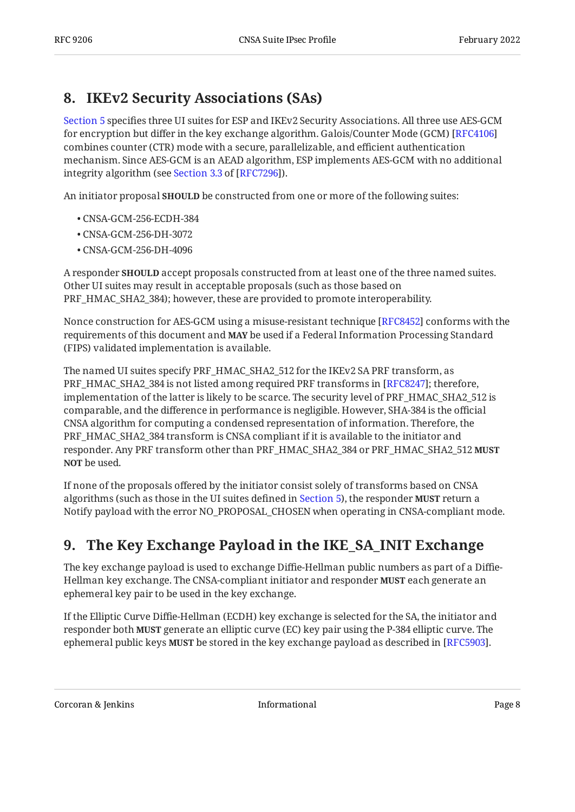### <span id="page-7-0"></span>**[8. IKEv2 Security Associations \(SAs\)](#page-7-0)**

[Section 5](#page-4-1) specifies three UI suites for ESP and IKEv2 Security Associations. All three use AES-GCM for encryption but differ in the key exchange algorithm. Galois/Counter Mode (GCM) [[RFC4106\]](#page-11-9) combines counter (CTR) mode with a secure, parallelizable, and efficient authentication mechanism. Since AES-GCM is an AEAD algorithm, ESP implements AES-GCM with no additional integrityalgorithm (see Section 3.3 of [RFC7296]).

An initiator proposal **SHOULD** be constructed from one or more of the following suites:

- CNSA-GCM-256-ECDH-384 •
- CNSA-GCM-256-DH-3072 •
- CNSA-GCM-256-DH-4096 •

A responder **SHOULD** accept proposals constructed from at least one of the three named suites. Other UI suites may result in acceptable proposals (such as those based on PRF\_HMAC\_SHA2\_384); however, these are provided to promote interoperability.

Nonce construction for AES-GCM using a misuse-resistant technique [RFC8452] conforms with the requirements of this document and **MAY** be used if a Federal Information Processing Standard (FIPS) validated implementation is available.

The named UI suites specify PRF\_HMAC\_SHA2\_512 for the IKEv2 SA PRF transform, as PRF\_HMAC\_SHA2\_384 is not listed among required PRF transforms in [RFC8247]; therefore, implementation of the latter is likely to be scarce. The security level of PRF\_HMAC\_SHA2\_512 is comparable, and the difference in performance is negligible. However, SHA-384 is the official CNSA algorithm for computing a condensed representation of information. Therefore, the PRF\_HMAC\_SHA2\_384 transform is CNSA compliant if it is available to the initiator and responder. Any PRF transform other than PRF\_HMAC\_SHA2\_384 or PRF\_HMAC\_SHA2\_512 **MUST NOT** be used.

If none of the proposals offered by the initiator consist solely of transforms based on CNSA algorithms (such as those in the UI suites defined in [Section 5](#page-4-1)), the responder **MUST** return a Notify payload with the error NO\_PROPOSAL\_CHOSEN when operating in CNSA-compliant mode.

### <span id="page-7-1"></span>**[9. The Key Exchange Payload in the IKE\\_SA\\_INIT Exchange](#page-7-1)**

The key exchange payload is used to exchange Diffie-Hellman public numbers as part of a Diffie-Hellman key exchange. The CNSA-compliant initiator and responder **MUST** each generate an ephemeral key pair to be used in the key exchange.

If the Elliptic Curve Diffie-Hellman (ECDH) key exchange is selected for the SA, the initiator and responder both **MUST** generate an elliptic curve (EC) key pair using the P-384 elliptic curve. The ephemeral public keys **MUST** be stored in the key exchange payload as described in [RFC5903].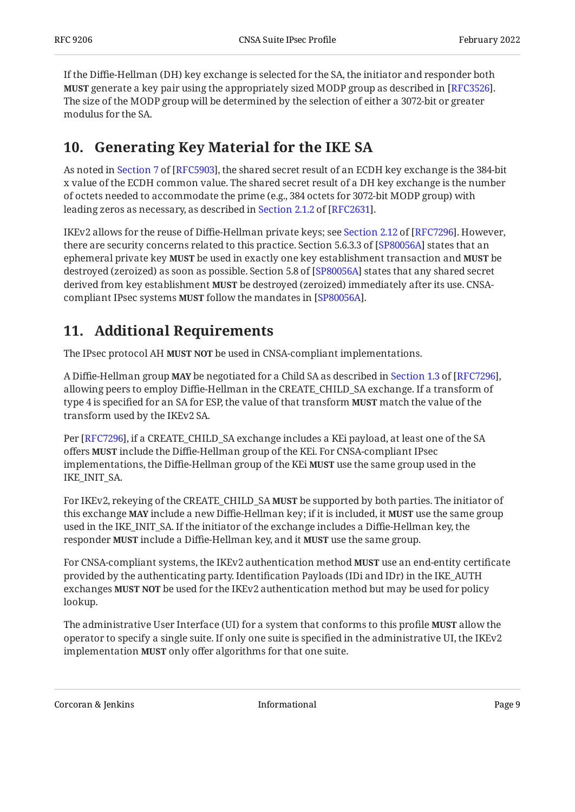If the Diffie-Hellman (DH) key exchange is selected for the SA, the initiator and responder both **MUST** generate a key pair using the appropriately sized MODP group as described in [RFC3526]. The size of the MODP group will be determined by the selection of either a 3072-bit or greater modulus for the SA.

### <span id="page-8-0"></span>**[10. Generating Key Material for the IKE SA](#page-8-0)**

Asnoted in Section 7 of [RFC5903], the shared secret result of an ECDH key exchange is the 384-bit x value of the ECDH common value. The shared secret result of a DH key exchange is the number of octets needed to accommodate the prime (e.g., 384 octets for 3072-bit MODP group) with leadingzeros as necessary, as described in Section 2.1.2 of [RFC2631].

IKEv2allows for the reuse of Diffie-Hellman private keys; see Section 2.12 of [RFC7296]. However, there are security concerns related to this practice. Section 5.6.3.3 of [SP80056A] states that an ephemeral private key **MUST** be used in exactly one key establishment transaction and **MUST** be destroyed (zeroized) as soon as possible. Section 5.8 of [SP80056A] states that any shared secret derived from key establishment MUST be destroyed (zeroized) immediately after its use. CNSAcompliant IPsec systems **MUST** follow the mandates in [SP80056A].

### <span id="page-8-1"></span>**[11. Additional Requirements](#page-8-1)**

The IPsec protocol AH MUST NOT be used in CNSA-compliant implementations.

ADiffie-Hellman group **MAY** be negotiated for a Child SA as described in Section 1.3 of [RFC7296], allowing peers to employ Diffie-Hellman in the CREATE\_CHILD\_SA exchange. If a transform of type 4 is specified for an SA for ESP, the value of that transform **MUST** match the value of the transform used by the IKEv2 SA.

Per [RFC7296], if a CREATE\_CHILD\_SA exchange includes a KEi payload, at least one of the SA offers include the Diffie-Hellman group of the KEi. For CNSA-compliant IPsec **MUST** implementations, the Diffie-Hellman group of the KEi **MUST** use the same group used in the IKE\_INIT\_SA.

For IKEv2, rekeying of the CREATE\_CHILD\_SA **MUST** be supported by both parties. The initiator of this exchange **MAY** include a new Diffie-Hellman key; if it is included, it **MUST** use the same group used in the IKE\_INIT\_SA. If the initiator of the exchange includes a Diffie-Hellman key, the **responder MUST** include a Diffie-Hellman key, and it **MUST** use the same group.

For CNSA-compliant systems, the IKEv2 authentication method **MUST** use an end-entity certificate provided by the authenticating party. Identification Payloads (IDi and IDr) in the IKE\_AUTH exchanges **MUST NOT** be used for the IKEv2 authentication method but may be used for policy lookup.

The administrative User Interface (UI) for a system that conforms to this profile **MUST** allow the operator to specify a single suite. If only one suite is specified in the administrative UI, the IKEv2 implementation **MUST** only offer algorithms for that one suite.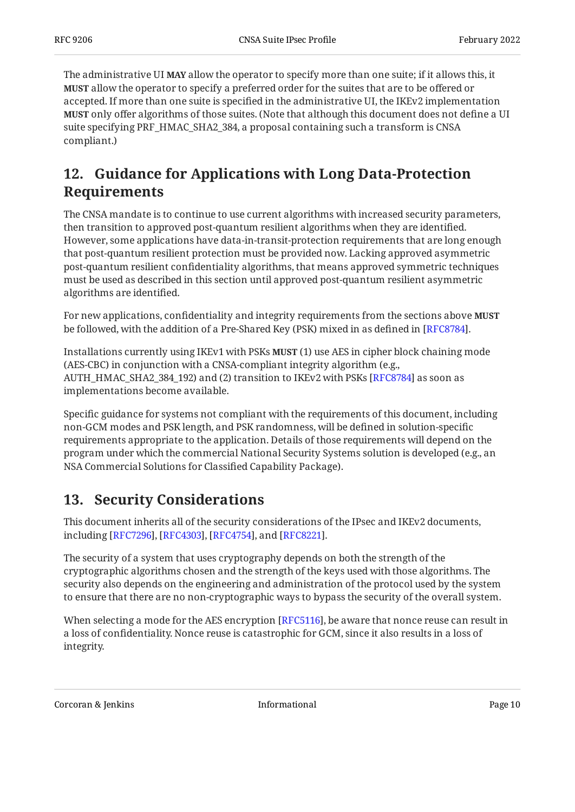The administrative UI **MAY** allow the operator to specify more than one suite; if it allows this, it allow the operator to specify a preferred order for the suites that are to be offered or **MUST** accepted. If more than one suite is specified in the administrative UI, the IKEv2 implementation **MUST** only offer algorithms of those suites. (Note that although this document does not define a UI suite specifying PRF\_HMAC\_SHA2\_384, a proposal containing such a transform is CNSA compliant.)

### <span id="page-9-0"></span>**[12. Guidance for Applications with Long Data-Protection](#page-9-0) [Requirements](#page-9-0)**

The CNSA mandate is to continue to use current algorithms with increased security parameters, then transition to approved post-quantum resilient algorithms when they are identified. However, some applications have data-in-transit-protection requirements that are long enough that post-quantum resilient protection must be provided now. Lacking approved asymmetric post-quantum resilient confidentiality algorithms, that means approved symmetric techniques must be used as described in this section until approved post-quantum resilient asymmetric algorithms are identified.

For new applications, confidentiality and integrity requirements from the sections above **MUST** be followed, with the addition of a Pre-Shared Key (PSK) mixed in as defined in [RFC8784].

Installations currently using IKEv1 with PSKs **MUST** (1) use AES in cipher block chaining mode (AES-CBC) in conjunction with a CNSA-compliant integrity algorithm (e.g., AUTH\_HMAC\_SHA2\_384\_192) and (2) transition to IKEv2 with PSKs [RFC8784] as soon as implementations become available.

Specific guidance for systems not compliant with the requirements of this document, including non-GCM modes and PSK length, and PSK randomness, will be defined in solution-specific requirements appropriate to the application. Details of those requirements will depend on the program under which the commercial National Security Systems solution is developed (e.g., an NSA Commercial Solutions for Classified Capability Package).

#### <span id="page-9-1"></span>**[13. Security Considerations](#page-9-1)**

This document inherits all of the security considerations of the IPsec and IKEv2 documents, including [RFC7296], [RFC4303], [RFC4754], and [RFC8221].

The security of a system that uses cryptography depends on both the strength of the cryptographic algorithms chosen and the strength of the keys used with those algorithms. The security also depends on the engineering and administration of the protocol used by the system to ensure that there are no non-cryptographic ways to bypass the security of the overall system.

When selecting a mode for the AES encryption [RFC5116], be aware that nonce reuse can result in a loss of confidentiality. Nonce reuse is catastrophic for GCM, since it also results in a loss of integrity.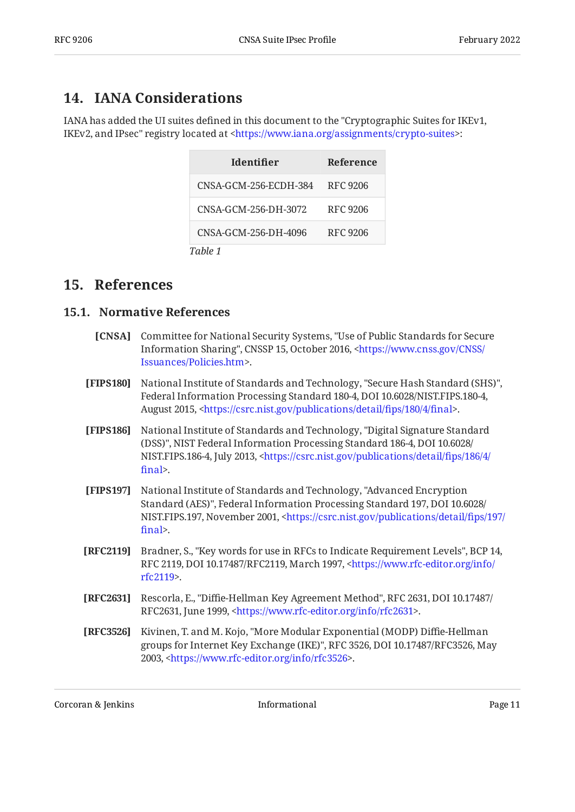#### <span id="page-10-0"></span>**[14. IANA Considerations](#page-10-0)**

IANA has added the UI suites defined in this document to the "Cryptographic Suites for IKEv1, IKEv2, and IPsec" registry located at <https://www.iana.org/assignments/crypto-suites>:

<span id="page-10-10"></span>

| <b>Identifier</b>     | <b>Reference</b> |
|-----------------------|------------------|
| CNSA-GCM-256-ECDH-384 | RFC 9206         |
| CNSA-GCM-256-DH-3072  | RFC 9206         |
| CNSA-GCM-256-DH-4096  | RFC 9206         |
| Table 1               |                  |

#### <span id="page-10-2"></span><span id="page-10-1"></span>**[15. References](#page-10-1)**

#### <span id="page-10-3"></span>**[15.1. Normative References](#page-10-2)**

| <b>[CNSA]</b> Committee for National Security Systems, "Use of Public Standards for Secure         |
|----------------------------------------------------------------------------------------------------|
| Information Sharing", CNSSP 15, October 2016, <https: <="" cnss="" th="" www.cnss.gov=""></https:> |
| Issuances/Policies.htm>.                                                                           |

- <span id="page-10-8"></span>**[FIPS180]** National Institute of Standards and Technology, "Secure Hash Standard (SHS)", , , Federal Information Processing Standard 180-4 DOI 10.6028/NIST.FIPS.180-4 August 2015, <https://csrc.nist.gov/publications/detail/fips/180/4/final>.
- <span id="page-10-6"></span>**[FIPS186]** , National Institute of Standards and Technology "Digital Signature Standard (DSS)", NIST Federal Information Processing Standard 186-4, DOI 10.6028/ NIST.FIPS.186-4, July 2013, [<https://csrc.nist.gov/publications/detail/](https://csrc.nist.gov/publications/detail/fips/186/4/final)fips/186/4/ . fi[nal](https://csrc.nist.gov/publications/detail/fips/186/4/final)>
- <span id="page-10-5"></span>**[FIPS197]** , National Institute of Standards and Technology "Advanced Encryption , , Standard (AES)" Federal Information Processing Standard 197 DOI 10.6028/ NIST.FIPS.197, November 2001, <[https://csrc.nist.gov/publications/detail/](https://csrc.nist.gov/publications/detail/fips/197/final)fips/197/ . fi[nal](https://csrc.nist.gov/publications/detail/fips/197/final)>
- <span id="page-10-4"></span>**[RFC2119]** Bradner, S., "Key words for use in RFCs to Indicate Requirement Levels", BCP 14, RFC 2119, DOI 10.17487/RFC2119, March 1997, [<https://www.rfc-editor.org/info/](https://www.rfc-editor.org/info/rfc2119) . [rfc2119](https://www.rfc-editor.org/info/rfc2119)>
- <span id="page-10-9"></span>**[RFC2631]** Rescorla, E., "Diffie-Hellman Key Agreement Method", RFC 2631, DOI 10.17487/ RFC2631, June 1999, <https://www.rfc-editor.org/info/rfc2631>.
- <span id="page-10-7"></span>**[RFC3526]** Kivinen, T. and M. Kojo, "More Modular Exponential (MODP) Diffie-Hellman groups for Internet Key Exchange (IKE)", RFC 3526, DOI 10.17487/RFC3526, May 2003, <https://www.rfc-editor.org/info/rfc3526>.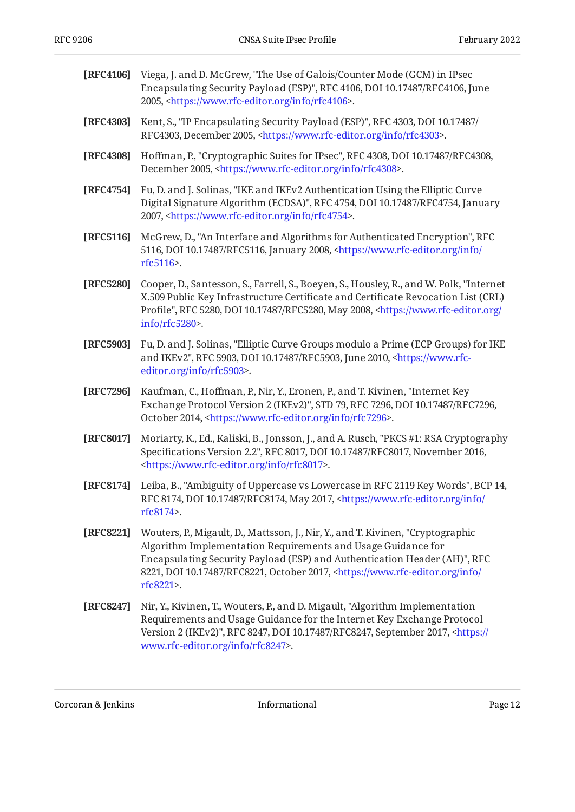<span id="page-11-11"></span><span id="page-11-9"></span><span id="page-11-8"></span><span id="page-11-6"></span><span id="page-11-5"></span><span id="page-11-2"></span><span id="page-11-1"></span><span id="page-11-0"></span>

| [RFC4106] | Viega, J. and D. McGrew, "The Use of Galois/Counter Mode (GCM) in IPsec<br>Encapsulating Security Payload (ESP)", RFC 4106, DOI 10.17487/RFC4106, June<br>2005, <https: info="" rfc4106="" www.rfc-editor.org="">.</https:>                                                                                                                  |
|-----------|----------------------------------------------------------------------------------------------------------------------------------------------------------------------------------------------------------------------------------------------------------------------------------------------------------------------------------------------|
| [RFC4303] | Kent, S., "IP Encapsulating Security Payload (ESP)", RFC 4303, DOI 10.17487/<br>RFC4303, December 2005, <https: info="" rfc4303="" www.rfc-editor.org="">.</https:>                                                                                                                                                                          |
| [RFC4308] | Hoffman, P., "Cryptographic Suites for IPsec", RFC 4308, DOI 10.17487/RFC4308,<br>December 2005, <https: info="" rfc4308="" www.rfc-editor.org="">.</https:>                                                                                                                                                                                 |
| [RFC4754] | Fu, D. and J. Solinas, "IKE and IKEv2 Authentication Using the Elliptic Curve<br>Digital Signature Algorithm (ECDSA)", RFC 4754, DOI 10.17487/RFC4754, January<br>2007, <https: info="" rfc4754="" www.rfc-editor.org="">.</https:>                                                                                                          |
| [RFC5116] | McGrew, D., "An Interface and Algorithms for Authenticated Encryption", RFC<br>5116, DOI 10.17487/RFC5116, January 2008, <https: <br="" info="" www.rfc-editor.org="">rfc5116&gt;.</https:>                                                                                                                                                  |
| [RFC5280] | Cooper, D., Santesson, S., Farrell, S., Boeyen, S., Housley, R., and W. Polk, "Internet<br>X.509 Public Key Infrastructure Certificate and Certificate Revocation List (CRL)<br>Profile", RFC 5280, DOI 10.17487/RFC5280, May 2008, <https: <br="" www.rfc-editor.org="">info/rfc5280&gt;.</https:>                                          |
| [RFC5903] | Fu, D. and J. Solinas, "Elliptic Curve Groups modulo a Prime (ECP Groups) for IKE<br>and IKEv2", RFC 5903, DOI 10.17487/RFC5903, June 2010, <https: www.rfc-<br="">editor.org/info/rfc5903&gt;.</https:>                                                                                                                                     |
| [RFC7296] | Kaufman, C., Hoffman, P., Nir, Y., Eronen, P., and T. Kivinen, "Internet Key<br>Exchange Protocol Version 2 (IKEv2)", STD 79, RFC 7296, DOI 10.17487/RFC7296,<br>October 2014, <https: info="" rfc7296="" www.rfc-editor.org="">.</https:>                                                                                                   |
| [RFC8017] | Moriarty, K., Ed., Kaliski, B., Jonsson, J., and A. Rusch, "PKCS #1: RSA Cryptography<br>Specifications Version 2.2", RFC 8017, DOI 10.17487/RFC8017, November 2016,<br><https: info="" rfc8017="" www.rfc-editor.org="">.</https:>                                                                                                          |
| [RFC8174] | Leiba, B., "Ambiguity of Uppercase vs Lowercase in RFC 2119 Key Words", BCP 14,<br>RFC 8174, DOI 10.17487/RFC8174, May 2017, <https: <br="" info="" www.rfc-editor.org="">rfc8174&gt;.</https:>                                                                                                                                              |
| [RFC8221] | Wouters, P., Migault, D., Mattsson, J., Nir, Y., and T. Kivinen, "Cryptographic<br>Algorithm Implementation Requirements and Usage Guidance for<br>Encapsulating Security Payload (ESP) and Authentication Header (AH)", RFC<br>8221, DOI 10.17487/RFC8221, October 2017, <https: <br="" info="" www.rfc-editor.org="">rfc8221&gt;.</https:> |
| [RFC8247] | Nir, Y., Kivinen, T., Wouters, P., and D. Migault, "Algorithm Implementation<br>Requirements and Usage Guidance for the Internet Key Exchange Protocol<br>Version 2 (IKEv2)", RFC 8247, DOI 10.17487/RFC8247, September 2017, <https: <br="">www.rfc-editor.org/info/rfc8247&gt;.</https:>                                                   |

<span id="page-11-10"></span><span id="page-11-7"></span><span id="page-11-4"></span><span id="page-11-3"></span>